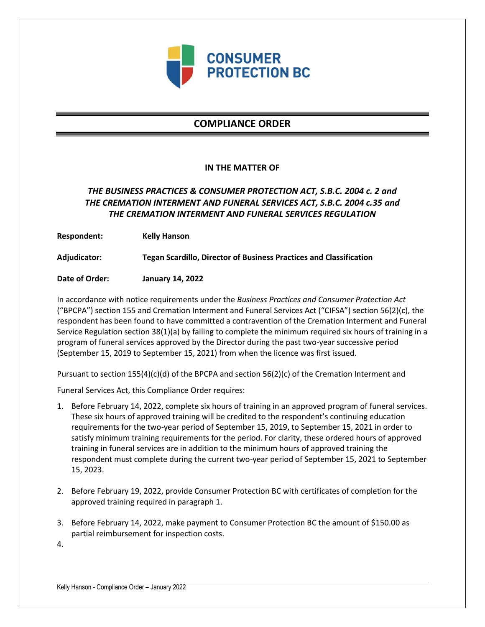

# **COMPLIANCE ORDER**

### **IN THE MATTER OF**

## *THE BUSINESS PRACTICES & CONSUMER PROTECTION ACT, S.B.C. 2004 c. 2 and THE CREMATION INTERMENT AND FUNERAL SERVICES ACT, S.B.C. 2004 c.35 and THE CREMATION INTERMENT AND FUNERAL SERVICES REGULATION*

**Respondent: Kelly Hanson**

**Adjudicator: Tegan Scardillo, Director of Business Practices and Classification**

**Date of Order: January 14, 2022**

In accordance with notice requirements under the *Business Practices and Consumer Protection Act* ("BPCPA") section 155 and Cremation Interment and Funeral Services Act ("CIFSA") section 56(2)(c), the respondent has been found to have committed a contravention of the Cremation Interment and Funeral Service Regulation section 38(1)(a) by failing to complete the minimum required six hours of training in a program of funeral services approved by the Director during the past two-year successive period (September 15, 2019 to September 15, 2021) from when the licence was first issued.

Pursuant to section 155(4)(c)(d) of the BPCPA and section 56(2)(c) of the Cremation Interment and

Funeral Services Act, this Compliance Order requires:

- 1. Before February 14, 2022, complete six hours of training in an approved program of funeral services. These six hours of approved training will be credited to the respondent's continuing education requirements for the two-year period of September 15, 2019, to September 15, 2021 in order to satisfy minimum training requirements for the period. For clarity, these ordered hours of approved training in funeral services are in addition to the minimum hours of approved training the respondent must complete during the current two-year period of September 15, 2021 to September 15, 2023.
- 2. Before February 19, 2022, provide Consumer Protection BC with certificates of completion for the approved training required in paragraph 1.
- 3. Before February 14, 2022, make payment to Consumer Protection BC the amount of \$150.00 as partial reimbursement for inspection costs.
- 4.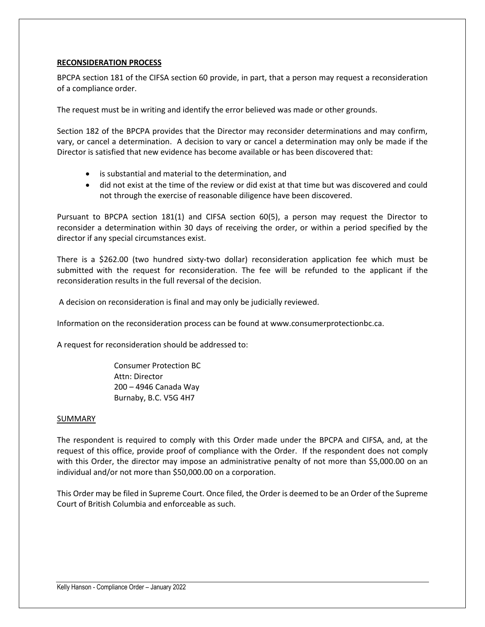### **RECONSIDERATION PROCESS**

BPCPA section 181 of the CIFSA section 60 provide, in part, that a person may request a reconsideration of a compliance order.

The request must be in writing and identify the error believed was made or other grounds.

Section 182 of the BPCPA provides that the Director may reconsider determinations and may confirm, vary, or cancel a determination. A decision to vary or cancel a determination may only be made if the Director is satisfied that new evidence has become available or has been discovered that:

- is substantial and material to the determination, and
- did not exist at the time of the review or did exist at that time but was discovered and could not through the exercise of reasonable diligence have been discovered.

Pursuant to BPCPA section 181(1) and CIFSA section 60(5), a person may request the Director to reconsider a determination within 30 days of receiving the order, or within a period specified by the director if any special circumstances exist.

There is a \$262.00 (two hundred sixty-two dollar) reconsideration application fee which must be submitted with the request for reconsideration. The fee will be refunded to the applicant if the reconsideration results in the full reversal of the decision.

A decision on reconsideration is final and may only be judicially reviewed.

Information on the reconsideration process can be found at www.consumerprotectionbc.ca.

A request for reconsideration should be addressed to:

Consumer Protection BC Attn: Director 200 – 4946 Canada Way Burnaby, B.C. V5G 4H7

#### SUMMARY

The respondent is required to comply with this Order made under the BPCPA and CIFSA, and, at the request of this office, provide proof of compliance with the Order. If the respondent does not comply with this Order, the director may impose an administrative penalty of not more than \$5,000.00 on an individual and/or not more than \$50,000.00 on a corporation.

This Order may be filed in Supreme Court. Once filed, the Order is deemed to be an Order of the Supreme Court of British Columbia and enforceable as such.